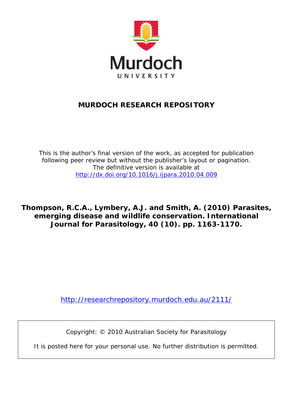

## **MURDOCH RESEARCH REPOSITORY**

*This is the author's final version of the work, as accepted for publication following peer review but without the publisher's layout or pagination. The definitive version is available at <http://dx.doi.org/10.1016/j.ijpara.2010.04.009>*

**Thompson, R.C.A., Lymbery, A.J. and Smith, A. (2010)** *Parasites, emerging disease and wildlife conservation.* **International Journal for Parasitology, 40 (10). pp. 1163-1170.**

<http://researchrepository.murdoch.edu.au/2111/>

Copyright: © 2010 Australian Society for Parasitology

It is posted here for your personal use. No further distribution is permitted.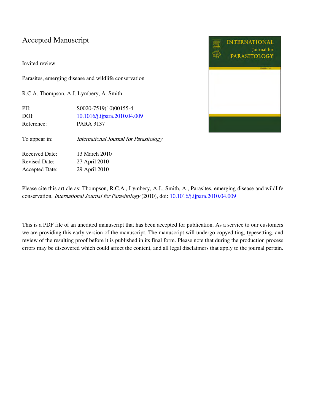### Accepted Manuscript

Invited review

Parasites, emerging disease and wildlife conservation

R.C.A. Thompson, A.J. Lymbery, A. Smith

PII: S0020-7519(10)00155-4 DOI: [10.1016/j.ijpara.2010.04.009](http://dx.doi.org/10.1016/j.ijpara.2010.04.009) Reference: PARA 3137

To appear in: *International Journal for Parasitology* 

Received Date: 13 March 2010 Revised Date: 27 April 2010 Accepted Date: 29 April 2010



Please cite this article as: Thompson, R.C.A., Lymbery, A.J., Smith, A., Parasites, emerging disease and wildlife conservation, International Journal for Parasitology (2010), doi: [10.1016/j.ijpara.2010.04.009](http://dx.doi.org/10.1016/j.ijpara.2010.04.009)

This is a PDF file of an unedited manuscript that has been accepted for publication. As a service to our customers we are providing this early version of the manuscript. The manuscript will undergo copyediting, typesetting, and review of the resulting proof before it is published in its final form. Please note that during the production process errors may be discovered which could affect the content, and all legal disclaimers that apply to the journal pertain.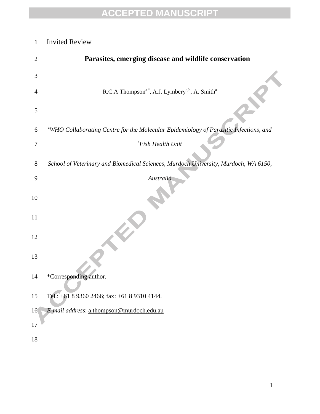## Invited Review

| $\overline{2}$ | Parasites, emerging disease and wildlife conservation                                             |
|----------------|---------------------------------------------------------------------------------------------------|
| 3              |                                                                                                   |
| $\overline{4}$ | R.C.A Thompson <sup>a*</sup> , A.J. Lymbery <sup>a,b</sup> , A. Smith <sup>a</sup>                |
| 5              |                                                                                                   |
| 6              | <sup>a</sup> WHO Collaborating Centre for the Molecular Epidemiology of Parasitic Infections, and |
| $\tau$         | <sup>b</sup> Fish Health Unit                                                                     |
| $8\,$          | School of Veterinary and Biomedical Sciences, Murdoch University, Murdoch, WA 6150,               |
| 9              | Australia                                                                                         |
| 10             |                                                                                                   |
| 11             |                                                                                                   |
| 12             |                                                                                                   |
| 13             |                                                                                                   |
| 14             | *Corresponding author.                                                                            |
| 15             | Tel.: +61 8 9360 2466; fax: +61 8 9310 4144.                                                      |
| 16             | E-mail address: a.thompson@murdoch.edu.au                                                         |
| 17             |                                                                                                   |
| 18             |                                                                                                   |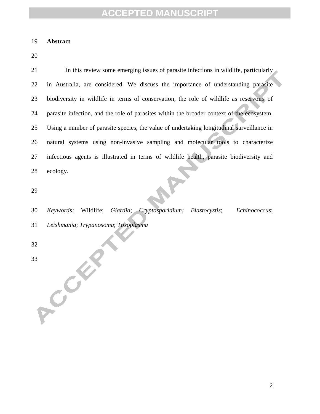#### **Abstract**

21 In this review some emerging issues of parasite infections in wildlife, particularly in Australia, are considered. We discuss the importance of understanding parasite biodiversity in wildlife in terms of conservation, the role of wildlife as reservoirs of parasite infection, and the role of parasites within the broader context of the ecosystem. Using a number of parasite species, the value of undertaking longitudinal surveillance in natural systems using non-invasive sampling and molecular tools to characterize infectious agents is illustrated in terms of wildlife health, parasite biodiversity and ecology.

 *Keywords:* Wildlife; *Giardia*; *Cryptosporidium; Blastocystis*; *Echinococcus*; *Leishmania*; *Trypanosoma*; *Toxoplasma*

33 COM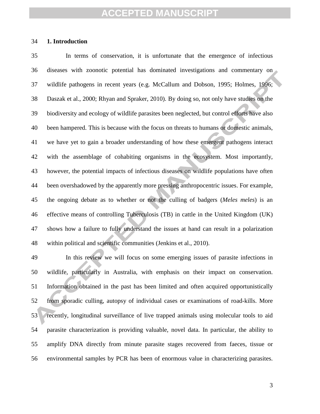#### **1. Introduction**

 In terms of conservation, it is unfortunate that the emergence of infectious diseases with zoonotic potential has dominated investigations and commentary on wildlife pathogens in recent years (e.g. McCallum and Dobson, 1995; Holmes, 1996; Daszak et al., 2000; Rhyan and Spraker, 2010). By doing so, not only have studies on the biodiversity and ecology of wildlife parasites been neglected, but control efforts have also been hampered. This is because with the focus on threats to humans or domestic animals, we have yet to gain a broader understanding of how these emergent pathogens interact with the assemblage of cohabiting organisms in the ecosystem. Most importantly, however, the potential impacts of infectious diseases on wildlife populations have often been overshadowed by the apparently more pressing anthropocentric issues. For example, the ongoing debate as to whether or not the culling of badgers (*Meles meles*) is an effective means of controlling Tuberculosis (TB) in cattle in the United Kingdom (UK) shows how a failure to fully understand the issues at hand can result in a polarization within political and scientific communities (Jenkins et al., 2010).

 In this review we will focus on some emerging issues of parasite infections in wildlife, particularly in Australia, with emphasis on their impact on conservation. Information obtained in the past has been limited and often acquired opportunistically from sporadic culling, autopsy of individual cases or examinations of road-kills. More recently, longitudinal surveillance of live trapped animals using molecular tools to aid parasite characterization is providing valuable, novel data. In particular, the ability to amplify DNA directly from minute parasite stages recovered from faeces, tissue or environmental samples by PCR has been of enormous value in characterizing parasites.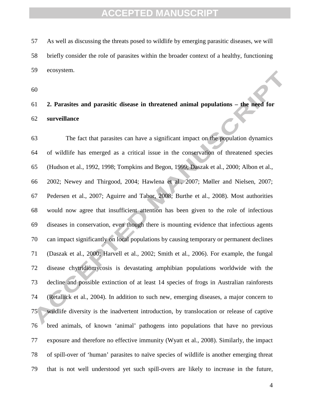As well as discussing the threats posed to wildlife by emerging parasitic diseases, we will briefly consider the role of parasites within the broader context of a healthy, functioning ecosystem.

 **2. Parasites and parasitic disease in threatened animal populations – the need for surveillance**

 The fact that parasites can have a significant impact on the population dynamics of wildlife has emerged as a critical issue in the conservation of threatened species (Hudson et al., 1992, 1998; Tompkins and Begon, 1999; Daszak et al., 2000; Albon et al., 2002; Newey and Thirgood, 2004; Hawlena et al., 2007; Møller and Nielsen, 2007; Pedersen et al., 2007; Aguirre and Tabor, 2008; Burthe et al., 2008). Most authorities would now agree that insufficient attention has been given to the role of infectious diseases in conservation, even though there is mounting evidence that infectious agents can impact significantly on local populations by causing temporary or permanent declines (Daszak et al., 2000; Harvell et al*.*, 2002; Smith et al*.*, 2006). For example, the fungal disease chytridiomycosis is devastating amphibian populations worldwide with the decline and possible extinction of at least 14 species of frogs in Australian rainforests (Retallick et al., 2004). In addition to such new, emerging diseases, a major concern to wildlife diversity is the inadvertent introduction, by translocation or release of captive bred animals, of known 'animal' pathogens into populations that have no previous exposure and therefore no effective immunity (Wyatt et al., 2008). Similarly, the impact of spill-over of 'human' parasites to naïve species of wildlife is another emerging threat that is not well understood yet such spill-overs are likely to increase in the future,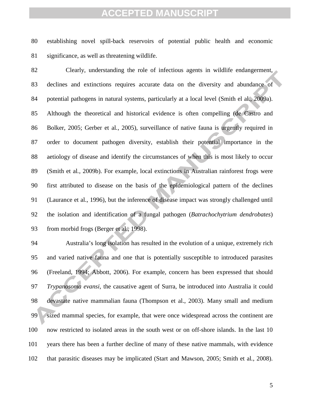establishing novel spill-back reservoirs of potential public health and economic significance, as well as threatening wildlife.

 Clearly, understanding the role of infectious agents in wildlife endangerment, declines and extinctions requires accurate data on the diversity and abundance of potential pathogens in natural systems, particularly at a local level (Smith el al., 2009a). Although the theoretical and historical evidence is often compelling (de Castro and Bolker, 2005; Gerber et al*.*, 2005), surveillance of native fauna is urgently required in order to document pathogen diversity, establish their potential importance in the aetiology of disease and identify the circumstances of when this is most likely to occur (Smith et al*.*, 2009b). For example, local extinctions in Australian rainforest frogs were first attributed to disease on the basis of the epidemiological pattern of the declines (Laurance et al., 1996), but the inference of disease impact was strongly challenged until the isolation and identification of a fungal pathogen (*Batrachochytrium dendrobates*) from morbid frogs (Berger et al., 1998).

 Australia's long isolation has resulted in the evolution of a unique, extremely rich and varied native fauna and one that is potentially susceptible to introduced parasites (Freeland, 1994; Abbott, 2006). For example, concern has been expressed that should *Trypanosoma evansi,* the causative agent of Surra, be introduced into Australia it could devastate native mammalian fauna (Thompson et al., 2003). Many small and medium sized mammal species, for example, that were once widespread across the continent are now restricted to isolated areas in the south west or on off-shore islands. In the last 10 years there has been a further decline of many of these native mammals, with evidence that parasitic diseases may be implicated (Start and Mawson, 2005; Smith et al*.*, 2008).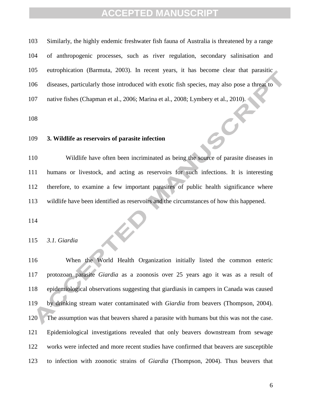Similarly, the highly endemic freshwater fish fauna of Australia is threatened by a range of anthropogenic processes, such as river regulation, secondary salinisation and eutrophication (Barmuta, 2003). In recent years, it has become clear that parasitic diseases, particularly those introduced with exotic fish species, may also pose a threat to 107 native fishes (Chapman et al., 2006; Marina et al., 2008; Lymbery et al., 2010).

 $\bigodot$ 

#### **3. Wildlife as reservoirs of parasite infection**

 Wildlife have often been incriminated as being the source of parasite diseases in humans or livestock, and acting as reservoirs for such infections. It is interesting therefore, to examine a few important parasites of public health significance where wildlife have been identified as reservoirs and the circumstances of how this happened.

*3.1. Giardia*

 When the World Health Organization initially listed the common enteric protozoan parasite *Giardia* as a zoonosis over 25 years ago it was as a result of epidemiological observations suggesting that giardiasis in campers in Canada was caused by drinking stream water contaminated with *Giardia* from beavers (Thompson, 2004). The assumption was that beavers shared a parasite with humans but this was not the case. Epidemiological investigations revealed that only beavers downstream from sewage works were infected and more recent studies have confirmed that beavers are susceptible to infection with zoonotic strains of *Giardia* (Thompson, 2004). Thus beavers that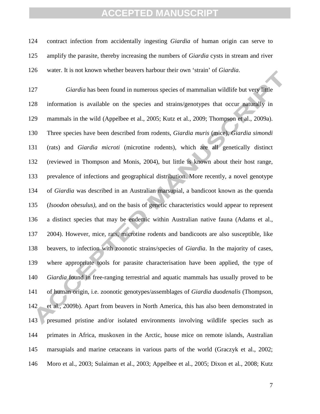contract infection from accidentally ingesting *Giardia* of human origin can serve to amplify the parasite, thereby increasing the numbers of *Giardia* cysts in stream and river water. It is not known whether beavers harbour their own 'strain' of *Giardia*.

 *Giardia* has been found in numerous species of mammalian wildlife but very little information is available on the species and strains/genotypes that occur naturally in mammals in the wild (Appelbee et al., 2005; Kutz et al., 2009; Thompson et al., 2009a). Three species have been described from rodents, *Giardia muris* (mice)*, Giardia simondi* (rats) and *Giardia microti* (microtine rodents), which are all genetically distinct (reviewed in Thompson and Monis, 2004), but little is known about their host range, prevalence of infections and geographical distribution. More recently, a novel genotype of *Giardia* was described in an Australian marsupial, a bandicoot known as the quenda (*Isoodon obesulus)*, and on the basis of genetic characteristics would appear to represent a distinct species that may be endemic within Australian native fauna (Adams et al., 2004). However, mice, rats, microtine rodents and bandicoots are also susceptible, like beavers, to infection with zoonotic strains/species of *Giardia*. In the majority of cases, where appropriate tools for parasite characterisation have been applied, the type of *Giardia* found in free-ranging terrestrial and aquatic mammals has usually proved to be of human origin, i.e. zoonotic genotypes/assemblages of *Giardia duodenalis* (Thompson, et al*.,* 2009b). Apart from beavers in North America, this has also been demonstrated in presumed pristine and/or isolated environments involving wildlife species such as primates in Africa, muskoxen in the Arctic, house mice on remote islands, Australian marsupials and marine cetaceans in various parts of the world (Graczyk et al., 2002; Moro et al., 2003; Sulaiman et al., 2003; Appelbee et al*.*, 2005; Dixon et al*.*, 2008; Kutz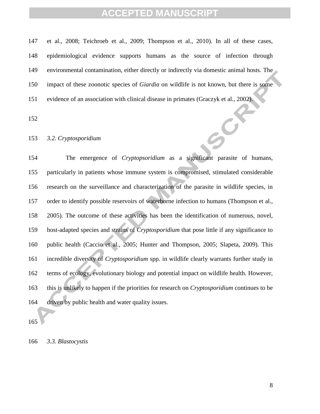et al., 2008; Teichroeb et al*.*, 2009; Thompson et al., 2010). In all of these cases, epidemiological evidence supports humans as the source of infection through environmental contamination, either directly or indirectly via domestic animal hosts. The impact of these zoonotic species of *Giardia* on wildlife is not known, but there is some evidence of an association with clinical disease in primates (Graczyk et al., 2002).

 $\boldsymbol{G}$ 

#### *3.2. Cryptosporidium*

 The emergence of *Cryptopsoridium* as a significant parasite of humans, particularly in patients whose immune system is compromised, stimulated considerable research on the surveillance and characterization of the parasite in wildlife species, in order to identify possible reservoirs of waterborne infection to humans (Thompson et al., 2005). The outcome of these activities has been the identification of numerous, novel, host-adapted species and strains of *Cryptosporidium* that pose little if any significance to public health (Caccio et al., 2005; Hunter and Thompson, 2005; Slapeta, 2009). This incredible diversity of *Cryptosporidium* spp. in wildlife clearly warrants further study in terms of ecology, evolutionary biology and potential impact on wildlife health. However, this is unlikely to happen if the priorities for research on *Cryptosporidium* continues to be driven by public health and water quality issues.

*3.3. Blastocystis*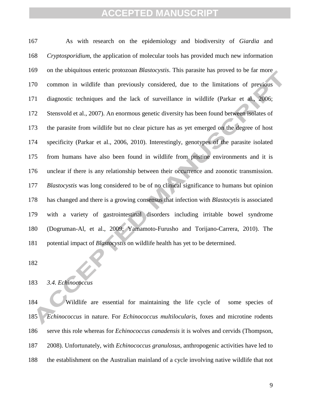As with research on the epidemiology and biodiversity of *Giardia* and *Cryptosporidium*, the application of molecular tools has provided much new information on the ubiquitous enteric protozoan *Blastocystis*. This parasite has proved to be far more common in wildlife than previously considered, due to the limitations of previous diagnostic techniques and the lack of surveillance in wildlife (Parkar et al., 2006; Stensvold et al., 2007). An enormous genetic diversity has been found between isolates of the parasite from wildlife but no clear picture has as yet emerged on the degree of host specificity (Parkar et al., 2006, 2010). Interestingly, genotypes of the parasite isolated from humans have also been found in wildlife from pristine environments and it is unclear if there is any relationship between their occurrence and zoonotic transmission. *Blastocystis* was long considered to be of no clinical significance to humans but opinion has changed and there is a growing consensus that infection with *Blastocytis* is associated with a variety of gastrointestinal disorders including irritable bowel syndrome (Dogruman-Al, et al., 2009; Yamamoto-Furusho and Torijano-Carrera, 2010). The potential impact of *Blastocystis* on wildlife health has yet to be determined.

#### *3.4. Echinococcus*

 Wildlife are essential for maintaining the life cycle of some species of *Echinococcus* in nature. For *Echinococcus multilocularis*, foxes and microtine rodents serve this role whereas for *Echinococcus canadensis* it is wolves and cervids (Thompson, 2008). Unfortunately, with *Echinococcus granulosus*, anthropogenic activities have led to the establishment on the Australian mainland of a cycle involving native wildlife that not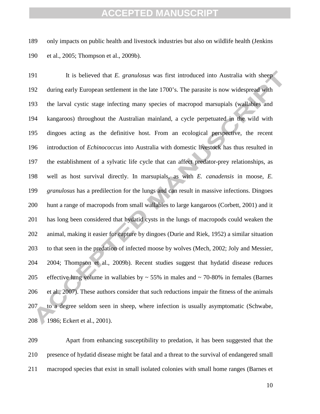only impacts on public health and livestock industries but also on wildlife health (Jenkins et al., 2005; Thompson et al., 2009b).

 It is believed that *E. granulosus* was first introduced into Australia with sheep during early European settlement in the late 1700's. The parasite is now widespread with the larval cystic stage infecting many species of macropod marsupials (wallabies and kangaroos) throughout the Australian mainland, a cycle perpetuated in the wild with dingoes acting as the definitive host. From an ecological perspective, the recent introduction of *Echinococcus* into Australia with domestic livestock has thus resulted in the establishment of a sylvatic life cycle that can affect predator-prey relationships, as well as host survival directly. In marsupials, as with *E. canadensis* in moose, *E. granulosus* has a predilection for the lungs and can result in massive infections. Dingoes hunt a range of macropods from small wallabies to large kangaroos (Corbett, 2001) and it has long been considered that hydatid cysts in the lungs of macropods could weaken the animal, making it easier for capture by dingoes (Durie and Riek, 1952) a similar situation to that seen in the predation of infected moose by wolves (Mech, 2002; Joly and Messier, 2004; Thompson et al., 2009b). Recent studies suggest that hydatid disease reduces 205 effective lung volume in wallabies by  $\sim$  55% in males and  $\sim$  70-80% in females (Barnes et al*.*, 2007). These authors consider that such reductions impair the fitness of the animals to a degree seldom seen in sheep, where infection is usually asymptomatic (Schwabe, 208 1986; Eckert et al., 2001).

 Apart from enhancing susceptibility to predation, it has been suggested that the presence of hydatid disease might be fatal and a threat to the survival of endangered small macropod species that exist in small isolated colonies with small home ranges (Barnes et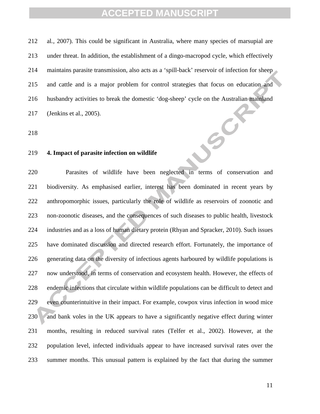al*.*, 2007). This could be significant in Australia, where many species of marsupial are under threat. In addition, the establishment of a dingo-macropod cycle, which effectively maintains parasite transmission, also acts as a 'spill-back' reservoir of infection for sheep and cattle and is a major problem for control strategies that focus on education and husbandry activities to break the domestic 'dog-sheep' cycle on the Australian mainland JSC (Jenkins et al., 2005).

#### **4. Impact of parasite infection on wildlife**

 Parasites of wildlife have been neglected in terms of conservation and biodiversity. As emphasised earlier, interest has been dominated in recent years by anthropomorphic issues, particularly the role of wildlife as reservoirs of zoonotic and non-zoonotic diseases, and the consequences of such diseases to public health, livestock industries and as a loss of human dietary protein (Rhyan and Spracker, 2010). Such issues have dominated discussion and directed research effort. Fortunately, the importance of generating data on the diversity of infectious agents harboured by wildlife populations is now understood, in terms of conservation and ecosystem health. However, the effects of endemic infections that circulate within wildlife populations can be difficult to detect and even counterintuitive in their impact. For example, cowpox virus infection in wood mice 230 and bank voles in the UK appears to have a significantly negative effect during winter months, resulting in reduced survival rates (Telfer et al., 2002). However, at the population level, infected individuals appear to have increased survival rates over the summer months. This unusual pattern is explained by the fact that during the summer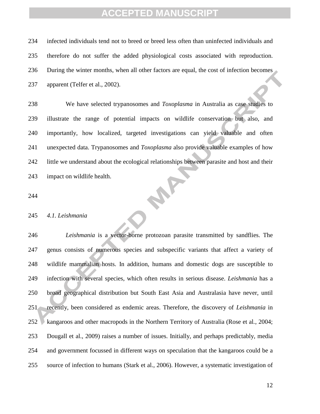infected individuals tend not to breed or breed less often than uninfected individuals and therefore do not suffer the added physiological costs associated with reproduction. During the winter months, when all other factors are equal, the cost of infection becomes apparent (Telfer et al., 2002).

 We have selected trypanosomes and *Toxoplasma* in Australia as case studies to illustrate the range of potential impacts on wildlife conservation but also, and importantly, how localized, targeted investigations can yield valuable and often unexpected data. Trypanosomes and *Toxoplasma* also provide valuable examples of how little we understand about the ecological relationships between parasite and host and their **PART** impact on wildlife health.

#### *4.1. Leishmania*

 *Leishmania* is a vector-borne protozoan parasite transmitted by sandflies. The genus consists of numerous species and subspecific variants that affect a variety of wildlife mammalian hosts. In addition, humans and domestic dogs are susceptible to infection with several species, which often results in serious disease. *Leishmania* has a broad geographical distribution but South East Asia and Australasia have never, until recently, been considered as endemic areas. Therefore, the discovery of *Leishmania* in kangaroos and other macropods in the Northern Territory of Australia (Rose et al*.*, 2004; Dougall et al., 2009) raises a number of issues. Initially, and perhaps predictably, media and government focussed in different ways on speculation that the kangaroos could be a source of infection to humans (Stark et al., 2006). However, a systematic investigation of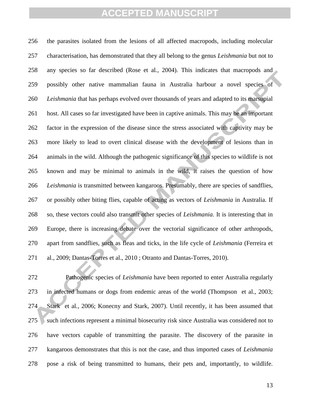the parasites isolated from the lesions of all affected macropods, including molecular characterisation, has demonstrated that they all belong to the genus *Leishmania* but not to any species so far described (Rose et al*.*, 2004). This indicates that macropods and possibly other native mammalian fauna in Australia harbour a novel species of *Leishmania* that has perhaps evolved over thousands of years and adapted to its marsupial host. All cases so far investigated have been in captive animals. This may be an important factor in the expression of the disease since the stress associated with captivity may be more likely to lead to overt clinical disease with the development of lesions than in animals in the wild. Although the pathogenic significance of this species to wildlife is not known and may be minimal to animals in the wild, it raises the question of how *Leishmania* is transmitted between kangaroos. Presumably, there are species of sandflies, or possibly other biting flies, capable of acting as vectors of *Leishmania* in Australia. If so, these vectors could also transmit other species of *Leishmania*. It is interesting that in Europe, there is increasing debate over the vectorial significance of other arthropods, apart from sandflies, such as fleas and ticks, in the life cycle of *Leishmania* (Ferreira et al., 2009; Dantas-Torres et al., 2010 ; Otranto and Dantas-Torres, 2010).

 Pathogenic species of *Leishmania* have been reported to enter Australia regularly in infected humans or dogs from endemic areas of the world (Thompson et al*.*, 2003; Stark et al*.,* 2006; Konecny and Stark, 2007). Until recently, it has been assumed that 275 such infections represent a minimal biosecurity risk since Australia was considered not to have vectors capable of transmitting the parasite. The discovery of the parasite in kangaroos demonstrates that this is not the case, and thus imported cases of *Leishmania* pose a risk of being transmitted to humans, their pets and, importantly, to wildlife.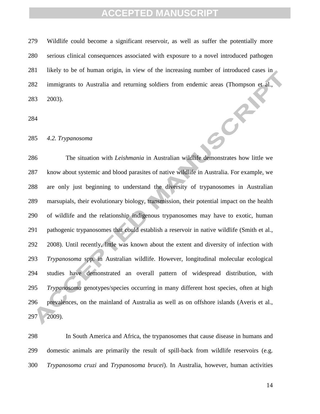Wildlife could become a significant reservoir, as well as suffer the potentially more serious clinical consequences associated with exposure to a novel introduced pathogen likely to be of human origin, in view of the increasing number of introduced cases in immigrants to Australia and returning soldiers from endemic areas (Thompson et al., 2003).  $56x$ 

*4.2. Trypanosoma*

 The situation with *Leishmania* in Australian wildlife demonstrates how little we know about systemic and blood parasites of native wildlife in Australia. For example, we are only just beginning to understand the diversity of trypanosomes in Australian marsupials, their evolutionary biology, transmission, their potential impact on the health of wildlife and the relationship indigenous trypanosomes may have to exotic, human pathogenic trypanosomes that could establish a reservoir in native wildlife (Smith et al., 2008). Until recently, little was known about the extent and diversity of infection with *Trypanosoma* spp. in Australian wildlife. However, longitudinal molecular ecological studies have demonstrated an overall pattern of widespread distribution, with *Trypanosoma* genotypes/species occurring in many different host species, often at high prevalences, on the mainland of Australia as well as on offshore islands (Averis et al., 2009).

 In South America and Africa, the trypanosomes that cause disease in humans and domestic animals are primarily the result of spill-back from wildlife reservoirs (e.g. *Trypanosoma cruzi* and *Trypanosoma brucei*). In Australia, however, human activities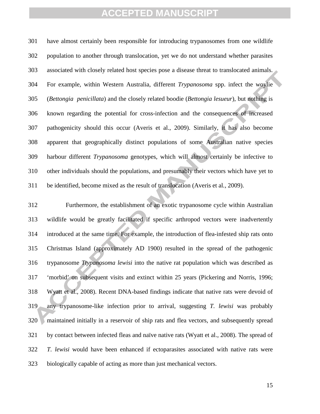have almost certainly been responsible for introducing trypanosomes from one wildlife population to another through translocation, yet we do not understand whether parasites associated with closely related host species pose a disease threat to translocated animals. For example, within Western Australia, different *Trypanosoma* spp. infect the woylie (*Bettongia penicillata*) and the closely related boodie (*Bettongia lesueur*), but nothing is known regarding the potential for cross-infection and the consequences of increased pathogenicity should this occur (Averis et al., 2009). Similarly, it has also become apparent that geographically distinct populations of some Australian native species harbour different *Trypanosoma* genotypes, which will almost certainly be infective to other individuals should the populations, and presumably their vectors which have yet to be identified, become mixed as the result of translocation (Averis et al*.*, 2009).

 Furthermore, the establishment of an exotic trypanosome cycle within Australian wildlife would be greatly facilitated if specific arthropod vectors were inadvertently introduced at the same time. For example, the introduction of flea-infested ship rats onto Christmas Island (approximately AD 1900) resulted in the spread of the pathogenic trypanosome *Ttypanosoma lewisi* into the native rat population which was described as 'morbid' on subsequent visits and extinct within 25 years (Pickering and Norris, 1996; Wyatt et al., 2008). Recent DNA-based findings indicate that native rats were devoid of any trypanosome-like infection prior to arrival, suggesting *T. lewisi* was probably maintained initially in a reservoir of ship rats and flea vectors, and subsequently spread by contact between infected fleas and naïve native rats (Wyatt et al., 2008). The spread of *T. lewisi* would have been enhanced if ectoparasites associated with native rats were biologically capable of acting as more than just mechanical vectors.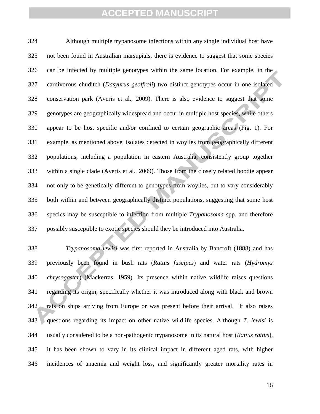Although multiple trypanosome infections within any single individual host have not been found in Australian marsupials, there is evidence to suggest that some species can be infected by multiple genotypes within the same location. For example, in the carnivorous chuditch (*Dasyurus geoffroii*) two distinct genotypes occur in one isolated conservation park (Averis et al., 2009). There is also evidence to suggest that some genotypes are geographically widespread and occur in multiple host species, while others appear to be host specific and/or confined to certain geographic areas (Fig. 1). For example, as mentioned above, isolates detected in woylies from geographically different populations, including a population in eastern Australia, consistently group together within a single clade (Averis et al., 2009). Those from the closely related boodie appear not only to be genetically different to genotypes from woylies, but to vary considerably both within and between geographically distinct populations, suggesting that some host species may be susceptible to infection from multiple *Trypanosoma* spp. and therefore possibly susceptible to exotic species should they be introduced into Australia.

 *Trypanosoma lewisi* was first reported in Australia by Bancroft (1888) and has previously been found in bush rats (*Rattus fuscipes*) and water rats (*Hydromys chrysogaster*) (Mackerras, 1959). Its presence within native wildlife raises questions regarding its origin, specifically whether it was introduced along with black and brown rats on ships arriving from Europe or was present before their arrival. It also raises questions regarding its impact on other native wildlife species. Although *T. lewisi* is usually considered to be a non-pathogenic trypanosome in its natural host (*Rattus rattus*), it has been shown to vary in its clinical impact in different aged rats, with higher incidences of anaemia and weight loss, and significantly greater mortality rates in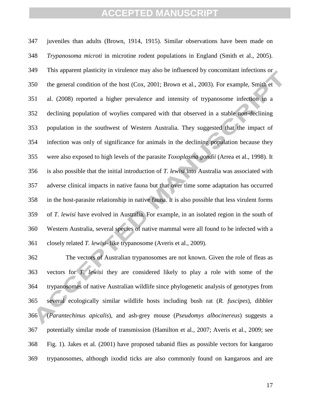juveniles than adults (Brown, 1914, 1915). Similar observations have been made on *Trypanosoma microti* in microtine rodent populations in England (Smith et al., 2005). This apparent plasticity in virulence may also be influenced by concomitant infections or the general condition of the host (Cox, 2001; Brown et al., 2003). For example, Smith et al. (2008) reported a higher prevalence and intensity of trypanosome infection in a declining population of woylies compared with that observed in a stable non-declining population in the southwest of Western Australia. They suggested that the impact of infection was only of significance for animals in the declining population because they were also exposed to high levels of the parasite *Toxoplasma gondii* (Arrea et al., 1998)*.* It is also possible that the initial introduction of *T. lewisi* into Australia was associated with adverse clinical impacts in native fauna but that over time some adaptation has occurred in the host-parasite relationship in native fauna. It is also possible that less virulent forms of *T. lewisi* have evolved in Australia. For example, in an isolated region in the south of Western Australia, several species of native mammal were all found to be infected with a closely related *T. lewisi*- like trypanosome (Averis et al., 2009).

 The vectors of Australian trypanosomes are not known. Given the role of fleas as vectors for *T. lewisi* they are considered likely to play a role with some of the trypanosomes of native Australian wildlife since phylogenetic analysis of genotypes from several ecologically similar wildlife hosts including bush rat (*R. fuscipes*), dibbler (*Parantechinus apicalis*), and ash-grey mouse (*Pseudomys albocinereus*) suggests a potentially similar mode of transmission (Hamilton et al*.*, 2007; Averis et al., 2009; see Fig. 1). Jakes et al*.* (2001) have proposed tabanid flies as possible vectors for kangaroo trypanosomes, although ixodid ticks are also commonly found on kangaroos and are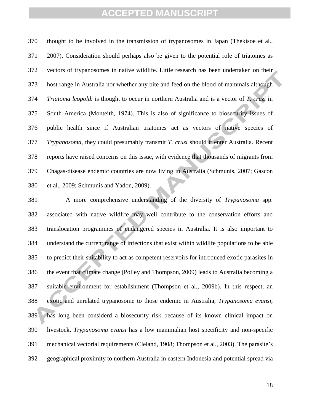thought to be involved in the transmission of trypanosomes in Japan (Thekisoe et al., 2007). Consideration should perhaps also be given to the potential role of triatomes as vectors of trypanosomes in native wildlife. Little research has been undertaken on their host range in Australia nor whether any bite and feed on the blood of mammals although *Triatoma leopoldi* is thought to occur in northern Australia and is a vector of *T. cruzi* in South America (Monteith, 1974). This is also of significance to biosecurity issues of public health since if Australian triatomes act as vectors of native species of *Trypanosoma*, they could presumably transmit *T. cruzi* should it enter Australia. Recent reports have raised concerns on this issue, with evidence that thousands of migrants from Chagas-disease endemic countries are now living in Australia (Schmunis, 2007; Gascon et al., 2009; Schmunis and Yadon, 2009).

 A more comprehensive understanding of the diversity of *Trypanosoma* spp. associated with native wildlife may well contribute to the conservation efforts and translocation programmes of endangered species in Australia. It is also important to understand the current range of infections that exist within wildlife populations to be able to predict their suitability to act as competent reservoirs for introduced exotic parasites in the event that climate change (Polley and Thompson, 2009) leads to Australia becoming a suitable environment for establishment (Thompson et al., 2009b). In this respect, an exotic and unrelated trypanosome to those endemic in Australia, *Trypanosoma evansi*, has long been considerd a biosecurity risk because of its known clinical impact on livestock. *Trypanosoma evansi* has a low mammalian host specificity and non-specific mechanical vectorial requirements (Cleland, 1908; Thompson et al., 2003). The parasite's geographical proximity to northern Australia in eastern Indonesia and potential spread via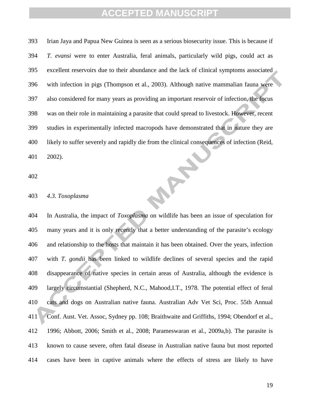Irian Jaya and Papua New Guinea is seen as a serious biosecurity issue. This is because if *T. evansi* were to enter Australia, feral animals, particularly wild pigs, could act as excellent reservoirs due to their abundance and the lack of clinical symptoms associated with infection in pigs (Thompson et al., 2003). Although native mammalian fauna were also considered for many years as providing an important reservoir of infection, the focus was on their role in maintaining a parasite that could spread to livestock. However, recent studies in experimentally infected macropods have demonstrated that in nature they are likely to suffer severely and rapidly die from the clinical consequences of infection (Reid, **PARK** 2002).

#### *4.3. Toxoplasma*

 In Australia, the impact of *Toxoplasma* on wildlife has been an issue of speculation for many years and it is only recently that a better understanding of the parasite's ecology and relationship to the hosts that maintain it has been obtained. Over the years, infection with *T. gondii* has been linked to wildlife declines of several species and the rapid disappearance of native species in certain areas of Australia, although the evidence is largely circumstantial (Shepherd, N.C., Mahood,I.T., 1978. The potential effect of feral cats and dogs on Australian native fauna. Australian Adv Vet Sci, Proc. 55th Annual Conf. Aust. Vet. Assoc, Sydney pp. 108; Braithwaite and Griffiths, 1994; Obendorf et al*.*, 1996; Abbott, 2006; Smith et al*.*, 2008; Parameswaran et al., 2009a,b). The parasite is known to cause severe, often fatal disease in Australian native fauna but most reported cases have been in captive animals where the effects of stress are likely to have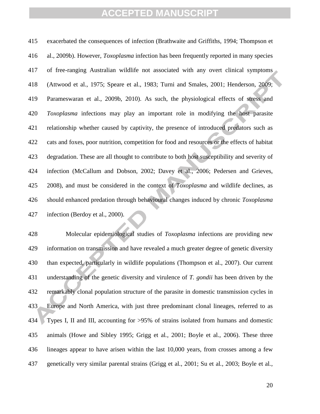exacerbated the consequences of infection (Brathwaite and Griffiths, 1994; Thompson et al., 2009b). However, *Toxoplasma* infection has been frequently reported in many species of free-ranging Australian wildlife not associated with any overt clinical symptoms (Attwood et al., 1975; Speare et al., 1983; Turni and Smales, 2001; Henderson, 2009; Parameswaran et al., 2009b, 2010). As such, the physiological effects of stress and *Toxoplasma* infections may play an important role in modifying the host parasite relationship whether caused by captivity, the presence of introduced predators such as cats and foxes, poor nutrition, competition for food and resources or the effects of habitat degradation. These are all thought to contribute to both host susceptibility and severity of infection (McCallum and Dobson, 2002; Davey et al., 2006; Pedersen and Grieves, 2008), and must be considered in the context of *Toxoplasma* and wildlife declines, as should enhanced predation through behavioural changes induced by chronic *Toxoplasma* infection (Berdoy et al., 2000).

 Molecular epidemiological studies of *Toxoplasma* infections are providing new information on transmission and have revealed a much greater degree of genetic diversity than expected, particularly in wildlife populations (Thompson et al., 2007). Our current understanding of the genetic diversity and virulence of *T. gondii* has been driven by the remarkably clonal population structure of the parasite in domestic transmission cycles in Europe and North America, with just three predominant clonal lineages, referred to as Types I, II and III, accounting for >95% of strains isolated from humans and domestic animals (Howe and Sibley 1995; Grigg et al*.*, 2001; Boyle et al*.*, 2006). These three lineages appear to have arisen within the last 10,000 years, from crosses among a few genetically very similar parental strains (Grigg et al*.*, 2001; Su et al*.*, 2003; Boyle et al*.*,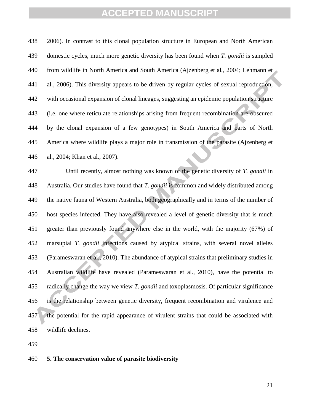2006). In contrast to this clonal population structure in European and North American domestic cycles, much more genetic diversity has been found when *T. gondii* is sampled from wildlife in North America and South America (Ajzenberg et al*.*, 2004; Lehmann et al*.*, 2006). This diversity appears to be driven by regular cycles of sexual reproduction, with occasional expansion of clonal lineages, suggesting an epidemic population structure (i.e. one where reticulate relationships arising from frequent recombination are obscured by the clonal expansion of a few genotypes) in South America and parts of North America where wildlife plays a major role in transmission of the parasite (Ajzenberg et al*.*, 2004; Khan et al*.*, 2007).

 Until recently, almost nothing was known of the genetic diversity of *T. gondii* in Australia. Our studies have found that *T. gondii* is common and widely distributed among the native fauna of Western Australia, both geographically and in terms of the number of host species infected. They have also revealed a level of genetic diversity that is much greater than previously found anywhere else in the world, with the majority (67%) of marsupial *T. gondii* infections caused by atypical strains, with several novel alleles (Parameswaran et al., 2010). The abundance of atypical strains that preliminary studies in Australian wildlife have revealed (Parameswaran et al., 2010), have the potential to radically change the way we view *T. gondii* and toxoplasmosis. Of particular significance is the relationship between genetic diversity, frequent recombination and virulence and the potential for the rapid appearance of virulent strains that could be associated with wildlife declines.

#### **5. The conservation value of parasite biodiversity**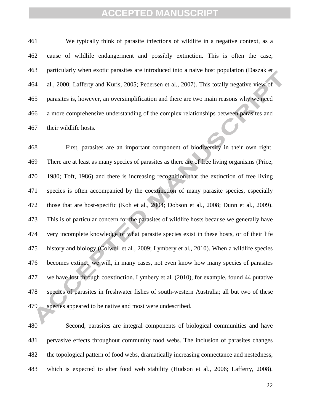We typically think of parasite infections of wildlife in a negative context, as a cause of wildlife endangerment and possibly extinction. This is often the case, particularly when exotic parasites are introduced into a naive host population (Daszak et al*.*, 2000; Lafferty and Kuris, 2005; Pedersen et al*.*, 2007). This totally negative view of parasites is, however, an oversimplification and there are two main reasons why we need a more comprehensive understanding of the complex relationships between parasites and their wildlife hosts.

 First, parasites are an important component of biodiversity in their own right. There are at least as many species of parasites as there are of free living organisms (Price, 1980; Toft, 1986) and there is increasing recognition that the extinction of free living species is often accompanied by the coextinction of many parasite species, especially those that are host-specific (Koh et al*.*, 2004; Dobson et al*.*, 2008; Dunn et al*.*, 2009). This is of particular concern for the parasites of wildlife hosts because we generally have very incomplete knowledge of what parasite species exist in these hosts, or of their life history and biology (Colwell et al*.*, 2009; Lymbery et al*.*, 2010). When a wildlife species becomes extinct, we will, in many cases, not even know how many species of parasites we have lost through coextinction. Lymbery et al. (2010), for example, found 44 putative species of parasites in freshwater fishes of south-western Australia; all but two of these species appeared to be native and most were undescribed.

 Second, parasites are integral components of biological communities and have pervasive effects throughout community food webs. The inclusion of parasites changes the topological pattern of food webs, dramatically increasing connectance and nestedness, which is expected to alter food web stability (Hudson et al., 2006; Lafferty, 2008).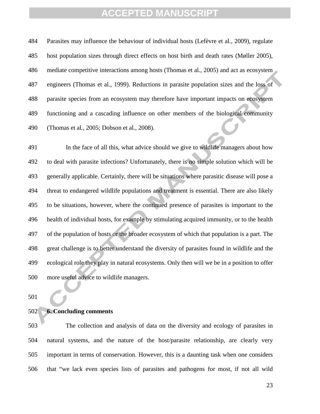Parasites may influence the behaviour of individual hosts (Lefèvre et al*.*, 2009), regulate host population sizes through direct effects on host birth and death rates (Møller 2005), mediate competitive interactions among hosts (Thomas et al*.*, 2005) and act as ecosystem engineers (Thomas et al*.*, 1999). Reductions in parasite population sizes and the loss of parasite species from an ecosystem may therefore have important impacts on ecosystem functioning and a cascading influence on other members of the biological community (Thomas et al*.*, 2005; Dobson et al*.*, 2008).

 In the face of all this, what advice should we give to wildlife managers about how to deal with parasite infections? Unfortunately, there is no simple solution which will be generally applicable. Certainly, there will be situations where parasitic disease will pose a threat to endangered wildlife populations and treatment is essential. There are also likely to be situations, however, where the continued presence of parasites is important to the health of individual hosts, for example by stimulating acquired immunity, or to the health of the population of hosts or the broader ecosystem of which that population is a part. The great challenge is to better understand the diversity of parasites found in wildlife and the ecological role they play in natural ecosystems. Only then will we be in a position to offer more useful advice to wildlife managers.

#### **6. Concluding comments**

 The collection and analysis of data on the diversity and ecology of parasites in natural systems, and the nature of the host/parasite relationship, are clearly very important in terms of conservation. However, this is a daunting task when one considers that "we lack even species lists of parasites and pathogens for most, if not all wild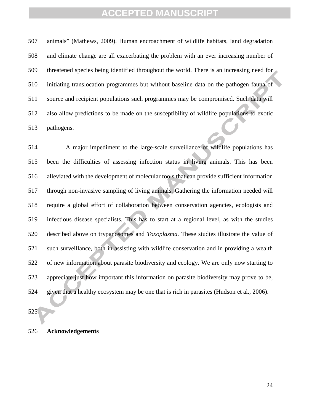animals" (Mathews, 2009). Human encroachment of wildlife habitats, land degradation and climate change are all exacerbating the problem with an ever increasing number of threatened species being identified throughout the world. There is an increasing need for initiating translocation programmes but without baseline data on the pathogen fauna of source and recipient populations such programmes may be compromised. Such data will also allow predictions to be made on the susceptibility of wildlife populations to exotic pathogens.

 A major impediment to the large-scale surveillance of wildlife populations has been the difficulties of assessing infection status in living animals. This has been alleviated with the development of molecular tools that can provide sufficient information through non-invasive sampling of living animals. Gathering the information needed will require a global effort of collaboration between conservation agencies, ecologists and infectious disease specialists. This has to start at a regional level, as with the studies described above on trypanosomes and *Toxoplasma*. These studies illustrate the value of such surveillance, both in assisting with wildlife conservation and in providing a wealth of new information about parasite biodiversity and ecology. We are only now starting to appreciate just how important this information on parasite biodiversity may prove to be, given that a healthy ecosystem may be one that is rich in parasites (Hudson et al., 2006).

#### **Acknowledgements**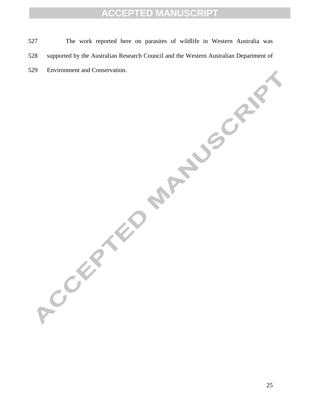527 The work reported here on parasites of wildlife in Western Australia was 528 supported by the Australian Research Council and the Western Australian Department of 529 Environment and Conservation.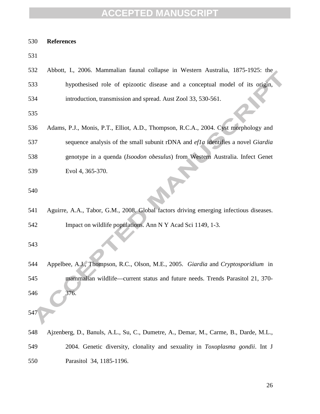#### **References**

| ۰.<br>٠<br>× | ۰,<br>۰.<br>× |  |
|--------------|---------------|--|

| 532 | Abbott, I., 2006. Mammalian faunal collapse in Western Australia, 1875-1925: the       |
|-----|----------------------------------------------------------------------------------------|
| 533 | hypothesised role of epizootic disease and a conceptual model of its origin,           |
| 534 | introduction, transmission and spread. Aust Zool 33, 530-561.                          |
| 535 |                                                                                        |
| 536 | Adams, P.J., Monis, P.T., Elliot, A.D., Thompson, R.C.A., 2004. Cyst morphology and    |
| 537 | sequence analysis of the small subunit rDNA and efla identifies a novel Giardia        |
| 538 | genotype in a quenda (Isoodon obesulus) from Western Australia. Infect Genet           |
| 539 | Evol 4, 365-370.                                                                       |
| 540 |                                                                                        |
| 541 | Aguirre, A.A., Tabor, G.M., 2008. Global factors driving emerging infectious diseases. |
| 542 | Impact on wildlife populations. Ann N Y Acad Sci 1149, 1-3.                            |
| 543 |                                                                                        |
| 544 | Appelbee, A.J., Thompson, R.C., Olson, M.E., 2005. Giardia and Cryptosporidium in      |
| 545 | mammalian wildlife—current status and future needs. Trends Parasitol 21, 370-          |
| 546 | 376.                                                                                   |
| 547 |                                                                                        |
| 548 | Ajzenberg, D., Banuls, A.L., Su, C., Dumetre, A., Demar, M., Carme, B., Darde, M.L.,   |
| 549 | 2004. Genetic diversity, clonality and sexuality in <i>Toxoplasma gondii</i> . Int J   |
| 550 | Parasitol 34, 1185-1196.                                                               |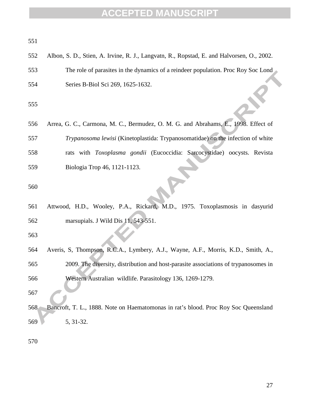| 551 |                                                                                           |
|-----|-------------------------------------------------------------------------------------------|
| 552 | Albon, S. D., Stien, A. Irvine, R. J., Langvatn, R., Ropstad, E. and Halvorsen, O., 2002. |
| 553 | The role of parasites in the dynamics of a reindeer population. Proc Roy Soc Lond         |
| 554 | Series B-Biol Sci 269, 1625-1632.                                                         |
| 555 |                                                                                           |
| 556 | Arrea, G. C., Carmona, M. C., Bermudez, O. M. G. and Abrahams, E., 1998. Effect of        |
| 557 | Trypanosoma lewisi (Kinetoplastida: Trypanosomatidae) on the infection of white           |
| 558 | rats with Toxoplasma gondii (Eucoccidia: Sarcocystidae) oocysts. Revista                  |
| 559 | Biologia Trop 46, 1121-1123.                                                              |
| 560 |                                                                                           |
| 561 | Attwood, H.D., Wooley, P.A., Rickard, M.D., 1975. Toxoplasmosis in dasyurid               |
| 562 | marsupials. J Wild Dis 11, 543-551.                                                       |
| 563 |                                                                                           |
| 564 | Averis, S, Thompson, R.C.A., Lymbery, A.J., Wayne, A.F., Morris, K.D., Smith, A.,         |
| 565 | 2009. The diversity, distribution and host-parasite associations of trypanosomes in       |
| 566 | Western Australian wildlife. Parasitology 136, 1269-1279.                                 |
| 567 |                                                                                           |
| 568 | Bancroft, T. L., 1888. Note on Haematomonas in rat's blood. Proc Roy Soc Queensland       |
| 569 | 5, 31-32.                                                                                 |
|     |                                                                                           |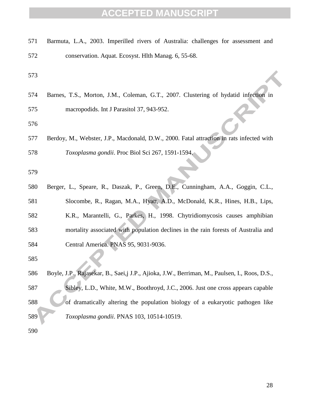| 571 | Barmuta, L.A., 2003. Imperilled rivers of Australia: challenges for assessment and           |
|-----|----------------------------------------------------------------------------------------------|
| 572 | conservation. Aquat. Ecosyst. Hlth Manag. 6, 55-68.                                          |
| 573 |                                                                                              |
| 574 | Barnes, T.S., Morton, J.M., Coleman, G.T., 2007. Clustering of hydatid infection in          |
| 575 | macropodids. Int J Parasitol 37, 943-952.                                                    |
| 576 |                                                                                              |
| 577 | Berdoy, M., Webster, J.P., Macdonald, D.W., 2000. Fatal attraction in rats infected with     |
| 578 | Toxoplasma gondii. Proc Biol Sci 267, 1591-1594.                                             |
| 579 |                                                                                              |
| 580 | Berger, L., Speare, R., Daszak, P., Green, D.E., Cunningham, A.A., Goggin, C.L.,             |
| 581 | Slocombe, R., Ragan, M.A., Hyatt, A.D., McDonald, K.R., Hines, H.B., Lips,                   |
| 582 | K.R., Marantelli, G., Parkes, H., 1998. Chytridiomycosis causes amphibian                    |
| 583 | mortality associated with population declines in the rain forests of Australia and           |
| 584 | Central America. PNAS 95, 9031-9036.                                                         |
| 585 |                                                                                              |
| 586 | Boyle, J.P., Rajasekar, B., Saei, J.P., Ajioka, J.W., Berriman, M., Paulsen, I., Roos, D.S., |
| 587 | Sibley, L.D., White, M.W., Boothroyd, J.C., 2006. Just one cross appears capable             |
| 588 | of dramatically altering the population biology of a eukaryotic pathogen like                |
| 589 | Toxoplasma gondii. PNAS 103, 10514-10519.                                                    |
| 590 |                                                                                              |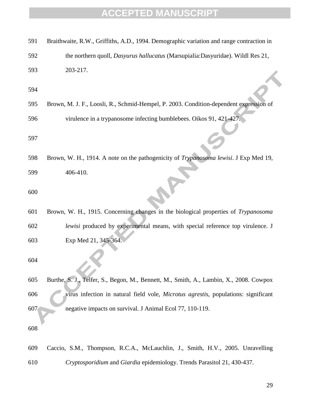| 591 | Braithwaite, R.W., Griffiths, A.D., 1994. Demographic variation and range contraction in     |
|-----|----------------------------------------------------------------------------------------------|
| 592 | the northern quoll, Dasyurus hallucatus (Marsupialia:Dasyuridae). Wildl Res 21,              |
| 593 | 203-217.                                                                                     |
| 594 |                                                                                              |
| 595 | Brown, M. J. F., Loosli, R., Schmid-Hempel, P. 2003. Condition-dependent expression of       |
| 596 | virulence in a trypanosome infecting bumblebees. Oikos 91, 421-427.                          |
| 597 |                                                                                              |
| 598 | Brown, W. H., 1914. A note on the pathogenicity of <i>Trypanosoma lewisi</i> . J Exp Med 19, |
| 599 | 406-410.                                                                                     |
| 600 |                                                                                              |
| 601 | Brown, W. H., 1915. Concerning changes in the biological properties of Trypanosoma           |
| 602 | lewisi produced by experimental means, with special reference top virulence. J               |
| 603 | Exp Med 21, 345-364.                                                                         |
| 604 |                                                                                              |
| 605 | Burthe, S. J., Telfer, S., Begon, M., Bennett, M., Smith, A., Lambin, X., 2008. Cowpox       |
| 606 | virus infection in natural field vole, Microtus agrestis, populations: significant           |
| 607 | negative impacts on survival. J Animal Ecol 77, 110-119.                                     |
| 608 |                                                                                              |
| 609 | Caccio, S.M., Thompson, R.C.A., McLauchlin, J., Smith, H.V., 2005. Unravelling               |
| 610 | Cryptosporidium and Giardia epidemiology. Trends Parasitol 21, 430-437.                      |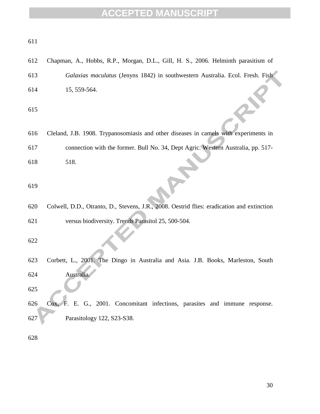| I<br>×<br>۰, |
|--------------|
|--------------|

- Chapman, A., Hobbs, R.P., Morgan, D.L., Gill, H. S., 2006. Helminth parasitism of
- *Galaxias maculatus* (Jenyns 1842) in southwestern Australia. Ecol. Fresh. Fish 15, 559-564.

- Cleland, J.B. 1908. Trypanosomiasis and other diseases in camels with experiments in connection with the former. Bull No. 34, Dept Agric. Western Australia, pp. 517-
- 518.

#### 

 Colwell, D.D., Otranto, D., Stevens, J.R., 2008. Oestrid flies: eradication and extinction versus biodiversity. Trends Parasitol 25, 500-504.

 Corbett, L., 2001. The Dingo in Australia and Asia. J.B. Books, Marleston, South Australia.

 Cox, F. E. G., 2001. Concomitant infections, parasites and immune response. Parasitology 122, S23-S38.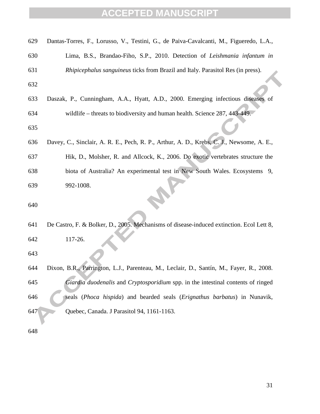| 629 | Dantas-Torres, F., Lorusso, V., Testini, G., de Paiva-Cavalcanti, M., Figueredo, L.A.,   |
|-----|------------------------------------------------------------------------------------------|
| 630 | Lima, B.S., Brandao-Fiho, S.P., 2010. Detection of Leishmania infantum in                |
| 631 | Rhipicephalus sanguineus ticks from Brazil and Italy. Parasitol Res (in press).          |
| 632 |                                                                                          |
| 633 | Daszak, P., Cunningham, A.A., Hyatt, A.D., 2000. Emerging infectious diseases of         |
| 634 | wildlife – threats to biodiversity and human health. Science 287, 443-449.               |
| 635 |                                                                                          |
| 636 | Davey, C., Sinclair, A. R. E., Pech, R. P., Arthur, A. D., Krebs, C. J., Newsome, A. E., |
| 637 | Hik, D., Molsher, R. and Allcock, K., 2006. Do exotic vertebrates structure the          |
| 638 | biota of Australia? An experimental test in New South Wales. Ecosystems 9,               |
| 639 | 992-1008.                                                                                |
| 640 |                                                                                          |
| 641 | De Castro, F. & Bolker, D., 2005. Mechanisms of disease-induced extinction. Ecol Lett 8, |
|     |                                                                                          |
| 642 | 117-26.                                                                                  |
| 643 |                                                                                          |
| 644 | Dixon, B.R., Parrington, L.J., Parenteau, M., Leclair, D., Santín, M., Fayer, R., 2008.  |
| 645 | Giardia duodenalis and Cryptosporidium spp. in the intestinal contents of ringed         |
| 646 | seals (Phoca hispida) and bearded seals (Erignathus barbatus) in Nunavik,                |
| 647 | Quebec, Canada. J Parasitol 94, 1161-1163.                                               |
| 648 |                                                                                          |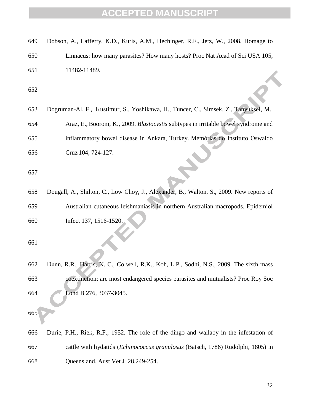| 649 | Dobson, A., Lafferty, K.D., Kuris, A.M., Hechinger, R.F., Jetz, W., 2008. Homage to     |
|-----|-----------------------------------------------------------------------------------------|
| 650 | Linnaeus: how many parasites? How many hosts? Proc Nat Acad of Sci USA 105,             |
| 651 | 11482-11489.                                                                            |
| 652 |                                                                                         |
| 653 | Dogruman-Al, F., Kustimur, S., Yoshikawa, H., Tuncer, C., Simsek, Z., Tanyuksel, M.,    |
| 654 | Araz, E., Boorom, K., 2009. Blastocystis subtypes in irritable bowel syndrome and       |
| 655 | inflammatory bowel disease in Ankara, Turkey. Memórias do Instituto Oswaldo             |
| 656 | Cruz 104, 724-127.                                                                      |
| 657 |                                                                                         |
| 658 | Dougall, A., Shilton, C., Low Choy, J., Alexander, B., Walton, S., 2009. New reports of |
| 659 | Australian cutaneous leishmaniasis in northern Australian macropods. Epidemiol          |
| 660 | Infect 137, 1516-1520.                                                                  |
| 661 |                                                                                         |
| 662 | Dunn, R.R., Harris, N. C., Colwell, R.K., Koh, L.P., Sodhi, N.S., 2009. The sixth mass  |
| 663 | coextinction: are most endangered species parasites and mutualists? Proc Roy Soc        |
| 664 | Lond B 276, 3037-3045.                                                                  |
| 665 |                                                                                         |
| 666 | Durie, P.H., Riek, R.F., 1952. The role of the dingo and wallaby in the infestation of  |
| 667 | cattle with hydatids ( <i>Echinococcus granulosus</i> (Batsch, 1786) Rudolphi, 1805) in |
| 668 | Queensland. Aust Vet J 28,249-254.                                                      |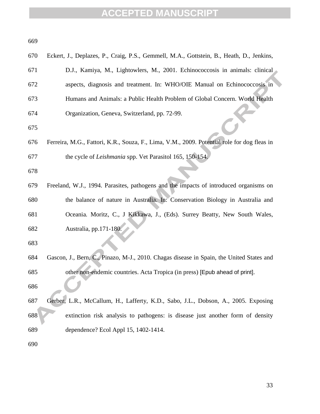| 669 |                                                                                             |
|-----|---------------------------------------------------------------------------------------------|
| 670 | Eckert, J., Deplazes, P., Craig, P.S., Gemmell, M.A., Gottstein, B., Heath, D., Jenkins,    |
| 671 | D.J., Kamiya, M., Lightowlers, M., 2001. Echinococcosis in animals: clinical                |
| 672 | aspects, diagnosis and treatment. In: WHO/OIE Manual on Echinococcosis in                   |
| 673 | Humans and Animals: a Public Health Problem of Global Concern. World Health                 |
| 674 | Organization, Geneva, Switzerland, pp. 72-99.                                               |
| 675 |                                                                                             |
| 676 | Ferreira, M.G., Fattori, K.R., Souza, F., Lima, V.M., 2009. Potential role for dog fleas in |
| 677 | the cycle of Leishmania spp. Vet Parasitol 165, 150-154.                                    |
| 678 |                                                                                             |
| 679 | Freeland, W.J., 1994. Parasites, pathogens and the impacts of introduced organisms on       |
| 680 | the balance of nature in Australia. In: Conservation Biology in Australia and               |
| 681 | Oceania. Moritz, C., J Kikkawa, J., (Eds). Surrey Beatty, New South Wales,                  |
| 682 | Australia, pp.171-180.                                                                      |
| 683 |                                                                                             |
| 684 | Gascon, J., Bern, C., Pinazo, M-J., 2010. Chagas disease in Spain, the United States and    |
| 685 | other non-endemic countries. Acta Tropica (in press) [Epub ahead of print].                 |
| 686 |                                                                                             |
| 687 | Gerber, L.R., McCallum, H., Lafferty, K.D., Sabo, J.L., Dobson, A., 2005. Exposing          |
| 688 | extinction risk analysis to pathogens: is disease just another form of density              |
| 689 | dependence? Ecol Appl 15, 1402-1414.                                                        |
| 690 |                                                                                             |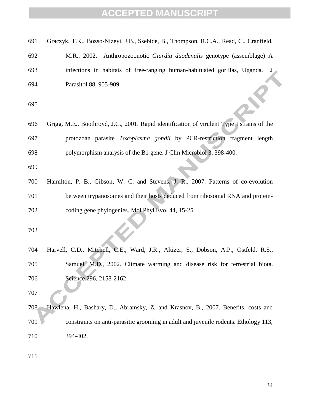| 691 | Graczyk, T.K., Bozso-Nizeyi, J.B., Ssebide, B., Thompson, R.C.A., Read, C., Cranfield,     |
|-----|--------------------------------------------------------------------------------------------|
| 692 | M.R., 2002. Anthropozoonotic Giardia duodenalis genotype (assemblage) A                    |
| 693 | infections in habitats of free-ranging human-habituated gorillas, Uganda.                  |
| 694 | Parasitol 88, 905-909.                                                                     |
| 695 |                                                                                            |
| 696 | Grigg, M.E., Boothroyd, J.C., 2001. Rapid identification of virulent Type I strains of the |
| 697 | protozoan parasite Toxoplasma gondii by PCR-restriction fragment length                    |
| 698 | polymorphism analysis of the B1 gene. J Clin Microbiol 3, 398-400.                         |
| 699 |                                                                                            |
| 700 | Hamilton, P. B., Gibson, W. C. and Stevens, J. R., 2007. Patterns of co-evolution          |
| 701 | between trypanosomes and their hosts deduced from ribosomal RNA and protein-               |
| 702 | coding gene phylogenies. Mol Phyl Evol 44, 15-25.                                          |
| 703 |                                                                                            |
| 704 | Harvell, C.D., Mitchell, C.E., Ward, J.R., Altizer, S., Dobson, A.P., Ostfeld, R.S.,       |
| 705 | Samuel, M.D., 2002. Climate warming and disease risk for terrestrial biota.                |
| 706 | Science 296, 2158-2162.                                                                    |
| 707 |                                                                                            |
| 708 | Hawlena, H., Bashary, D., Abramsky, Z. and Krasnov, B., 2007. Benefits, costs and          |
| 709 | constraints on anti-parasitic grooming in adult and juvenile rodents. Ethology 113,        |
| 710 | 394-402.                                                                                   |
| 711 |                                                                                            |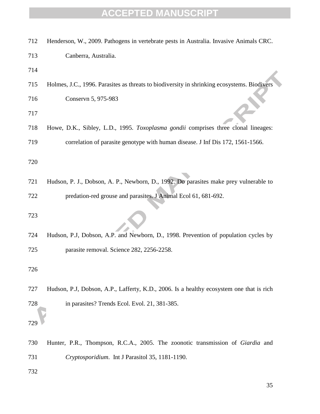| 712 | Henderson, W., 2009. Pathogens in vertebrate pests in Australia. Invasive Animals CRC.      |
|-----|---------------------------------------------------------------------------------------------|
| 713 | Canberra, Australia.                                                                        |
| 714 |                                                                                             |
| 715 | Holmes, J.C., 1996. Parasites as threats to biodiversity in shrinking ecosystems. Biodivers |
| 716 | Conservn 5, 975-983                                                                         |
| 717 |                                                                                             |
| 718 | Howe, D.K., Sibley, L.D., 1995. Toxoplasma gondii comprises three clonal lineages:          |
| 719 | correlation of parasite genotype with human disease. J Inf Dis 172, 1561-1566.              |
| 720 |                                                                                             |
|     |                                                                                             |
| 721 | Hudson, P. J., Dobson, A. P., Newborn, D., 1992. Do parasites make prey vulnerable to       |
| 722 | predation-red grouse and parasites. J Animal Ecol 61, 681-692.                              |
| 723 |                                                                                             |
| 724 | Hudson, P.J, Dobson, A.P. and Newborn, D., 1998. Prevention of population cycles by         |
| 725 | parasite removal. Science 282, 2256-2258.                                                   |
| 726 |                                                                                             |
| 727 | Hudson, P.J, Dobson, A.P., Lafferty, K.D., 2006. Is a healthy ecosystem one that is rich    |
| 728 | in parasites? Trends Ecol. Evol. 21, 381-385.                                               |
| 729 |                                                                                             |
| 730 | Hunter, P.R., Thompson, R.C.A., 2005. The zoonotic transmission of Giardia and              |
| 731 | Cryptosporidium. Int J Parasitol 35, 1181-1190.                                             |
| 732 |                                                                                             |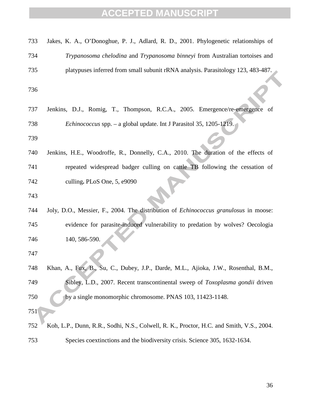| 733 | Jakes, K. A., O'Donoghue, P. J., Adlard, R. D., 2001. Phylogenetic relationships of      |
|-----|------------------------------------------------------------------------------------------|
| 734 | Trypanosoma chelodina and Trypanosoma binneyi from Australian tortoises and              |
| 735 | platypuses inferred from small subunit rRNA analysis. Parasitology 123, 483-487.         |
| 736 |                                                                                          |
| 737 | Jenkins, D.J., Romig, T., Thompson, R.C.A., 2005. Emergence/re-emergence of              |
| 738 | <i>Echinococcus</i> spp. – a global update. Int J Parasitol 35, 1205-1219.               |
| 739 |                                                                                          |
| 740 | Jenkins, H.E., Woodroffe, R., Donnelly, C.A., 2010. The duration of the effects of       |
| 741 | repeated widespread badger culling on cattle TB following the cessation of               |
| 742 | culling. PLoS One, 5, e9090                                                              |
| 743 |                                                                                          |
| 744 | Joly, D.O., Messier, F., 2004. The distribution of Echinococcus granulosus in moose:     |
| 745 | evidence for parasite-induced vulnerability to predation by wolves? Oecologia            |
| 746 | 140, 586-590.                                                                            |
| 747 |                                                                                          |
| 748 | Khan, A., Fux, B., Su, C., Dubey, J.P., Darde, M.L., Ajioka, J.W., Rosenthal, B.M.,      |
| 749 | Sibley, L.D., 2007. Recent transcontinental sweep of Toxoplasma gondii driven            |
| 750 | by a single monomorphic chromosome. PNAS 103, 11423-1148.                                |
| 751 |                                                                                          |
| 752 | Koh, L.P., Dunn, R.R., Sodhi, N.S., Colwell, R. K., Proctor, H.C. and Smith, V.S., 2004. |
| 753 | Species coextinctions and the biodiversity crisis. Science 305, 1632-1634.               |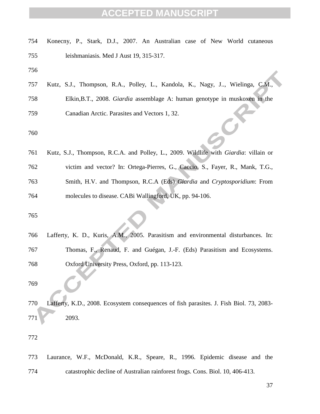| 754 | Konecny, P., Stark, D.J., 2007. An Australian case of New World cutaneous               |
|-----|-----------------------------------------------------------------------------------------|
| 755 | leishmaniasis. Med J Aust 19, 315-317.                                                  |
| 756 |                                                                                         |
| 757 | Kutz, S.J., Thompson, R.A., Polley, L., Kandola, K., Nagy, J, Wielinga, C.M.,           |
| 758 | Elkin, B.T., 2008. Giardia assemblage A: human genotype in muskoxen in the              |
| 759 | Canadian Arctic. Parasites and Vectors 1, 32.                                           |
| 760 |                                                                                         |
| 761 | Kutz, S.J., Thompson, R.C.A. and Polley, L., 2009. Wildlife with Giardia: villain or    |
| 762 | victim and vector? In: Ortega-Pierres, G., Caccio, S., Fayer, R., Mank, T.G.,           |
| 763 | Smith, H.V. and Thompson, R.C.A (Eds) Giardia and Cryptosporidium: From                 |
| 764 | molecules to disease. CABi Wallingford, UK, pp. 94-106.                                 |
| 765 |                                                                                         |
| 766 | Lafferty, K. D., Kuris, A.M., 2005. Parasitism and environmental disturbances. In:      |
| 767 | Thomas, F., Renaud, F. and Guégan, J.-F. (Eds) Parasitism and Ecosystems.               |
| 768 | Oxford University Press, Oxford, pp. 113-123.                                           |
| 769 |                                                                                         |
| 770 | Lafferty, K.D., 2008. Ecosystem consequences of fish parasites. J. Fish Biol. 73, 2083- |
| 771 | 2093.                                                                                   |
| 772 |                                                                                         |
| 773 | Laurance, W.F., McDonald, K.R., Speare, R., 1996. Epidemic disease and the              |
| 774 | catastrophic decline of Australian rainforest frogs. Cons. Biol. 10, 406-413.           |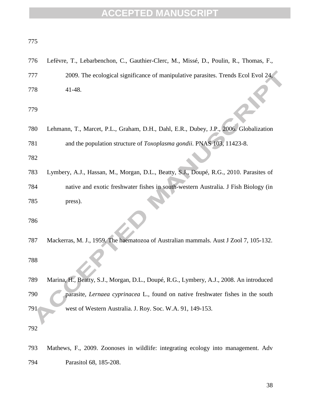| 775 |                                                                                         |
|-----|-----------------------------------------------------------------------------------------|
| 776 | Lefèvre, T., Lebarbenchon, C., Gauthier-Clerc, M., Missé, D., Poulin, R., Thomas, F.,   |
| 777 | 2009. The ecological significance of manipulative parasites. Trends Ecol Evol 24,       |
| 778 | 41-48.                                                                                  |
| 779 |                                                                                         |
| 780 | Lehmann, T., Marcet, P.L., Graham, D.H., Dahl, E.R., Dubey, J.P., 2006. Globalization   |
| 781 | and the population structure of Toxoplasma gondii. PNAS 103, 11423-8.                   |
| 782 |                                                                                         |
| 783 | Lymbery, A.J., Hassan, M., Morgan, D.L., Beatty, S.J., Doupé, R.G., 2010. Parasites of  |
| 784 | native and exotic freshwater fishes in south-western Australia. J Fish Biology (in      |
| 785 | press).                                                                                 |
| 786 |                                                                                         |
| 787 | Mackerras, M. J., 1959. The haematozoa of Australian mammals. Aust J Zool 7, 105-132.   |
| 788 |                                                                                         |
| 789 | Marina, H., Beatty, S.J., Morgan, D.L., Doupé, R.G., Lymbery, A.J., 2008. An introduced |
| 790 | parasite, Lernaea cyprinacea L., found on native freshwater fishes in the south         |
| 791 | west of Western Australia. J. Roy. Soc. W.A. 91, 149-153.                               |
| 792 |                                                                                         |
| 793 | Mathews, F., 2009. Zoonoses in wildlife: integrating ecology into management. Adv       |
| 794 | Parasitol 68, 185-208.                                                                  |
|     |                                                                                         |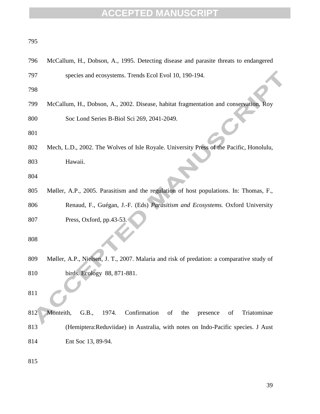| 796 | McCallum, H., Dobson, A., 1995. Detecting disease and parasite threats to endangered      |
|-----|-------------------------------------------------------------------------------------------|
| 797 | species and ecosystems. Trends Ecol Evol 10, 190-194.                                     |
| 798 |                                                                                           |
| 799 | McCallum, H., Dobson, A., 2002. Disease, habitat fragmentation and conservation. Roy      |
| 800 | Soc Lond Series B-Biol Sci 269, 2041-2049.                                                |
| 801 |                                                                                           |
| 802 | Mech, L.D., 2002. The Wolves of Isle Royale. University Press of the Pacific, Honolulu,   |
| 803 | Hawaii.                                                                                   |
| 804 |                                                                                           |
| 805 | Møller, A.P., 2005. Parasitism and the regulation of host populations. In: Thomas, F.,    |
| 806 | Renaud, F., Guégan, J.-F. (Eds) Parasitism and Ecosystems. Oxford University              |
| 807 | Press, Oxford, pp.43-53.                                                                  |
| 808 |                                                                                           |
|     |                                                                                           |
| 809 | Møller, A.P., Nielsen, J. T., 2007. Malaria and risk of predation: a comparative study of |
| 810 | birds. Ecology 88, 871-881.                                                               |
| 811 |                                                                                           |
| 812 | Monteith,<br>Confirmation<br>G.B.,<br>Triatominae<br>1974.<br>of<br>the<br>of<br>presence |
| 813 | (Hemiptera: Reduviidae) in Australia, with notes on Indo-Pacific species. J Aust          |
| 814 | Ent Soc 13, 89-94.                                                                        |
| 815 |                                                                                           |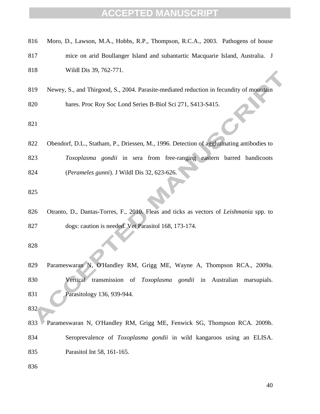| 816 | Moro, D., Lawson, M.A., Hobbs, R.P., Thompson, R.C.A., 2003. Pathogens of house           |
|-----|-------------------------------------------------------------------------------------------|
| 817 | mice on arid Boullanger Island and subantartic Macquarie Island, Australia. J             |
| 818 | Wildl Dis 39, 762-771.                                                                    |
| 819 | Newey, S., and Thirgood, S., 2004. Parasite-mediated reduction in fecundity of mountain   |
| 820 | hares. Proc Roy Soc Lond Series B-Biol Sci 271, S413-S415.                                |
| 821 |                                                                                           |
| 822 | Obendorf, D.L., Statham, P., Driessen, M., 1996. Detection of agglutinating antibodies to |
| 823 | Toxoplasma gondii in sera from free-ranging eastern barred bandicoots                     |
| 824 | (Perameles gunni). J Wildl Dis 32, 623-626.                                               |
| 825 |                                                                                           |
| 826 | Otranto, D., Dantas-Torres, F., 2010. Fleas and ticks as vectors of Leishmania spp. to    |
| 827 | dogs: caution is needed. Vet Parasitol 168, 173-174.                                      |
| 828 |                                                                                           |
| 829 | Parameswaran N, O'Handley RM, Grigg ME, Wayne A, Thompson RCA., 2009a.                    |
| 830 | Vertical transmission of Toxoplasma gondii in Australian marsupials.                      |
| 831 | Parasitology 136, 939-944.                                                                |
| 832 |                                                                                           |
| 833 | Parameswaran N, O'Handley RM, Grigg ME, Fenwick SG, Thompson RCA. 2009b.                  |
| 834 | Seroprevalence of Toxoplasma gondii in wild kangaroos using an ELISA.                     |
| 835 | Parasitol Int 58, 161-165.                                                                |
| 836 |                                                                                           |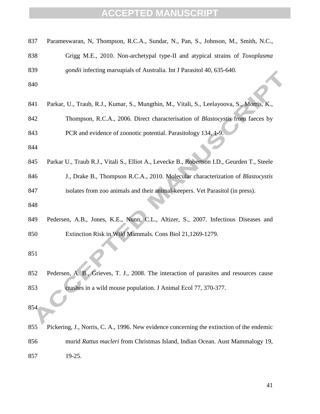| 837 | Parameswaran, N, Thompson, R.C.A., Sundar, N., Pan, S., Johnson, M., Smith, N.C.,           |
|-----|---------------------------------------------------------------------------------------------|
| 838 | Grigg M.E., 2010. Non-archetypal type-II and atypical strains of Toxoplasma                 |
| 839 | gondii infecting marsupials of Australia. Int J Parasitol 40, 635-640.                      |
| 840 |                                                                                             |
| 841 | Parkar, U., Traub, R.J., Kumar, S., Mungthin, M., Vitali, S., Leelayoova, S., Morris, K.,   |
| 842 | Thompson, R.C.A., 2006. Direct characterisation of <i>Blastocystis</i> from faeces by       |
| 843 | PCR and evidence of zoonotic potential. Parasitology 134, 1-9.                              |
| 844 |                                                                                             |
| 845 | Parkar U., Traub R.J., Vitali S., Elliot A., Levecke B., Robertson I.D., Geurden T., Steele |
| 846 | J., Drake B., Thompson R.C.A., 2010. Molecular characterization of Blastocystis             |
| 847 | isolates from zoo animals and their animal-keepers. Vet Parasitol (in press).               |
| 848 |                                                                                             |
| 849 | Pedersen, A.B., Jones, K.E., Nunn, C.L., Altizer, S., 2007. Infectious Diseases and         |
| 850 | Extinction Risk in Wild Mammals. Cons Biol 21,1269-1279.                                    |
| 851 |                                                                                             |
| 852 | Pedersen, A. B., Grieves, T. J., 2008. The interaction of parasites and resources cause     |
| 853 | crashes in a wild mouse population. J Animal Ecol 77, 370-377.                              |
| 854 |                                                                                             |
| 855 | Pickering, J., Norris, C. A., 1996. New evidence concerning the extinction of the endemic   |
| 856 | murid Rattus macleri from Christmas Island, Indian Ocean. Aust Mammalogy 19,                |
| 857 | 19-25.                                                                                      |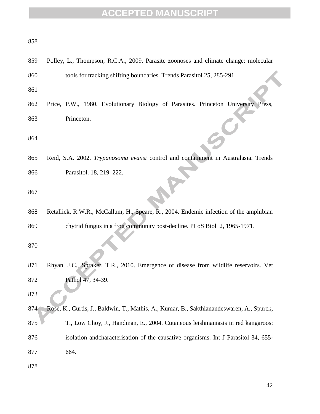| 858        |                                                                                           |
|------------|-------------------------------------------------------------------------------------------|
| 859        | Polley, L., Thompson, R.C.A., 2009. Parasite zoonoses and climate change: molecular       |
| 860        | tools for tracking shifting boundaries. Trends Parasitol 25, 285-291.                     |
| 861        |                                                                                           |
| 862        | Price, P.W., 1980. Evolutionary Biology of Parasites. Princeton University Press,         |
| 863<br>864 | Princeton.                                                                                |
| 865        | Reid, S.A. 2002. Trypanosoma evansi control and containment in Australasia. Trends        |
| 866        | Parasitol. 18, 219-222.                                                                   |
| 867        |                                                                                           |
| 868        | Retallick, R.W.R., McCallum, H., Speare, R., 2004. Endemic infection of the amphibian     |
| 869        | chytrid fungus in a frog community post-decline. PLoS Biol 2, 1965-1971.                  |
| 870        |                                                                                           |
| 871        | Rhyan, J.C., Spraker, T.R., 2010. Emergence of disease from wildlife reservoirs. Vet      |
| 872        | Pathol 47, 34-39.                                                                         |
| 873        |                                                                                           |
| 874        | Rose, K., Curtis, J., Baldwin, T., Mathis, A., Kumar, B., Sakthianandeswaren, A., Spurck, |
| 875        | T., Low Choy, J., Handman, E., 2004. Cutaneous leishmaniasis in red kangaroos:            |
| 876        | isolation and characterisation of the causative organisms. Int J Parasitol 34, 655-       |
| 877        | 664.                                                                                      |
| 878        |                                                                                           |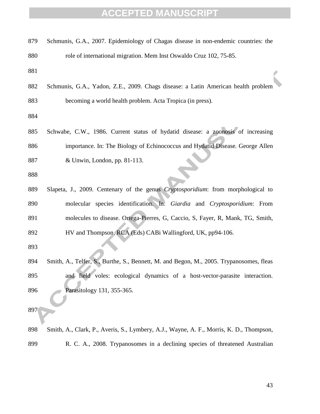| 879 | Schmunis, G.A., 2007. Epidemiology of Chagas disease in non-endemic countries: the      |
|-----|-----------------------------------------------------------------------------------------|
| 880 | role of international migration. Mem Inst Oswaldo Cruz 102, 75-85.                      |
| 881 |                                                                                         |
| 882 | Schmunis, G.A., Yadon, Z.E., 2009. Chags disease: a Latin American health problem       |
| 883 | becoming a world health problem. Acta Tropica (in press).                               |
| 884 |                                                                                         |
| 885 | Schwabe, C.W., 1986. Current status of hydatid disease: a zoonosis of increasing        |
| 886 | importance. In: The Biology of Echinococcus and Hydatid Disease. George Allen           |
| 887 | & Unwin, London, pp. 81-113.                                                            |
| 888 |                                                                                         |
| 889 | Slapeta, J., 2009. Centenary of the genus Cryptosporidium: from morphological to        |
| 890 | molecular species identification. In: Giardia and Cryptosporidium: From                 |
| 891 | molecules to disease. Ortega-Pierres, G, Caccio, S, Fayer, R, Mank, TG, Smith,          |
| 892 | HV and Thompson, RCA (Eds) CABi Wallingford, UK, pp94-106.                              |
| 893 |                                                                                         |
| 894 | Smith, A., Telfer, S., Burthe, S., Bennett, M. and Begon, M., 2005. Trypanosomes, fleas |
| 895 | and field voles: ecological dynamics of a host-vector-parasite interaction.             |
| 896 | Parasitology 131, 355-365.                                                              |
| 897 |                                                                                         |
| 898 | Smith, A., Clark, P., Averis, S., Lymbery, A.J., Wayne, A. F., Morris, K. D., Thompson, |
| 899 | R. C. A., 2008. Trypanosomes in a declining species of threatened Australian            |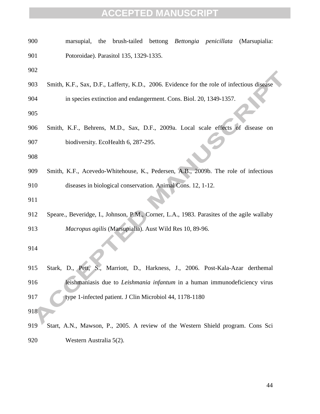| 900 | the brush-tailed bettong Bettongia penicillata<br>(Marsupialia:<br>marsupial,             |
|-----|-------------------------------------------------------------------------------------------|
| 901 | Potoroidae). Parasitol 135, 1329-1335.                                                    |
| 902 |                                                                                           |
| 903 | Smith, K.F., Sax, D.F., Lafferty, K.D., 2006. Evidence for the role of infectious disease |
| 904 | in species extinction and endangerment. Cons. Biol. 20, 1349-1357.                        |
| 905 |                                                                                           |
| 906 | Smith, K.F., Behrens, M.D., Sax, D.F., 2009a. Local scale effects of disease on           |
| 907 | biodiversity. EcoHealth 6, 287-295.                                                       |
| 908 |                                                                                           |
| 909 | Smith, K.F., Acevedo-Whitehouse, K., Pedersen, A.B., 2009b. The role of infectious        |
| 910 | diseases in biological conservation. Animal Cons. 12, 1-12.                               |
| 911 |                                                                                           |
| 912 | Speare., Beveridge, I., Johnson, P.M., Corner, L.A., 1983. Parasites of the agile wallaby |
| 913 | Macropus agilis (Marsupialia). Aust Wild Res 10, 89-96.                                   |
| 914 |                                                                                           |
| 915 | Marriott, D., Harkness, J., 2006. Post-Kala-Azar derthemal<br>Stark, D., Pett, S.,        |
| 916 | leishmaniasis due to Leishmania infantum in a human immunodeficiency virus                |
| 917 | type 1-infected patient. J Clin Microbiol 44, 1178-1180                                   |
| 918 |                                                                                           |
| 919 | Start, A.N., Mawson, P., 2005. A review of the Western Shield program. Cons Sci           |
| 920 | Western Australia 5(2).                                                                   |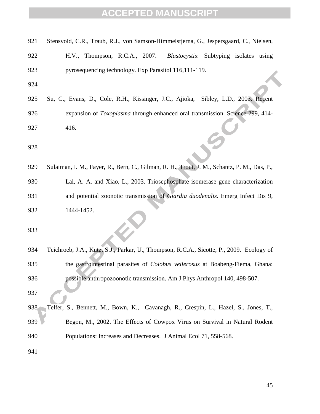| 921 | Stensvold, C.R., Traub, R.J., von Samson-Himmelstjerna, G., Jespersgaard, C., Nielsen,      |
|-----|---------------------------------------------------------------------------------------------|
| 922 | H.V., Thompson, R.C.A., 2007.<br><i>Blastocystis:</i> Subtyping isolates using              |
| 923 | pyrosequencing technology. Exp Parasitol 116,111-119.                                       |
| 924 |                                                                                             |
| 925 | Su, C., Evans, D., Cole, R.H., Kissinger, J.C., Ajioka, Sibley, L.D., 2003. Recent          |
| 926 | expansion of <i>Toxoplasma</i> through enhanced oral transmission. Science 299, 414-        |
| 927 | 416.                                                                                        |
| 928 |                                                                                             |
| 929 | Sulaiman, I. M., Fayer, R., Bern, C., Gilman, R. H., Trout, J. M., Schantz, P. M., Das, P., |
| 930 | Lal, A. A. and Xiao, L., 2003. Triosephosphate isomerase gene characterization              |
| 931 | and potential zoonotic transmission of Giardia duodenalis. Emerg Infect Dis 9,              |
| 932 | 1444-1452.                                                                                  |
| 933 |                                                                                             |
| 934 | Teichroeb, J.A., Kutz, S.J., Parkar, U., Thompson, R.C.A., Sicotte, P., 2009. Ecology of    |
| 935 | the gastrointestinal parasites of <i>Colobus vellerosus</i> at Boabeng-Fiema, Ghana:        |
| 936 | possible anthropozoonotic transmission. Am J Phys Anthropol 140, 498-507.                   |
| 937 |                                                                                             |
| 938 | Telfer, S., Bennett, M., Bown, K., Cavanagh, R., Crespin, L., Hazel, S., Jones, T.,         |
| 939 | Begon, M., 2002. The Effects of Cowpox Virus on Survival in Natural Rodent                  |
| 940 | Populations: Increases and Decreases. J Animal Ecol 71, 558-568.                            |
| 941 |                                                                                             |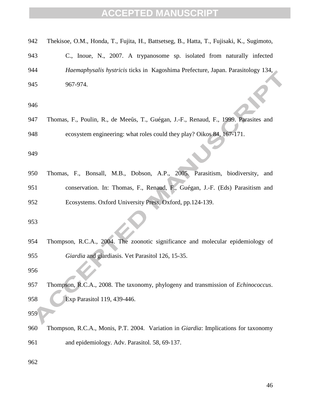|  |  |  | 942 Thekisoe, O.M., Honda, T., Fujita, H., Battsetseg, B., Hatta, T., Fujisaki, K., Sugimoto, |  |  |  |
|--|--|--|-----------------------------------------------------------------------------------------------|--|--|--|
|  |  |  |                                                                                               |  |  |  |

- C., Inoue, N., 2007. A trypanosome sp. isolated from naturally infected *Haemaphysalis hystricis* ticks in Kagoshima Prefecture, Japan. Parasitology 134, 967-974.
- 
- 947 Thomas, F., Poulin, R., de Meeűs, T., Guégan, J.-F., Renaud, F., 1999. Parasites and ecosystem engineering: what roles could they play? Oikos 84, 167-171.
- 
- Thomas, F., Bonsall, M.B., Dobson, A.P., 2005. Parasitism, biodiversity, and conservation. In: Thomas, F., Renaud, F., Guégan, J.-F. (Eds) Parasitism and Ecosystems. Oxford University Press, Oxford, pp.124-139.

 Thompson, R.C.A., 2004. The zoonotic significance and molecular epidemiology of *Giardia* and giardiasis. Vet Parasitol 126, 15-35.

- Thompson, R.C.A., 2008. The taxonomy, phylogeny and transmission of *Echinococcus*. Exp Parasitol 119, 439-446.
- 
- Thompson, R.C.A., Monis, P.T. 2004. Variation in *Giardia*: Implications for taxonomy and epidemiology. Adv. Parasitol*.* 58, 69-137.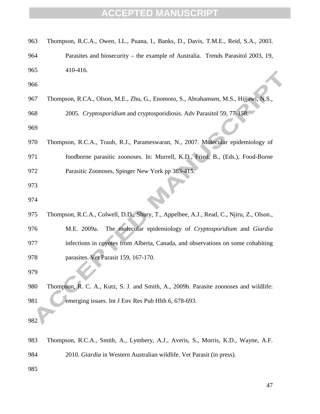| 963 | Thompson, R.C.A., Owen, I.L., Puana, I., Banks, D., Davis, T.M.E., Reid, S.A., 2003.     |
|-----|------------------------------------------------------------------------------------------|
| 964 | Parasites and biosecurity – the example of Australia. Trends Parasitol 2003, 19,         |
| 965 | 410-416.                                                                                 |
| 966 |                                                                                          |
| 967 | Thompson, R.CA., Olson, M.E., Zhu, G., Enomoto, S., Abrahamsen, M.S., Hijjawi, N.S.,     |
| 968 | 2005. Cryptosporidium and cryptosporidiosis. Adv Parasitol 59, 77-158.                   |
| 969 |                                                                                          |
| 970 | Thompson, R.C.A., Traub, R.J., Parameswaran, N., 2007. Molecular epidemiology of         |
| 971 | foodborne parasitic zoonoses. In: Murrell, K.D., Fried, B., (Eds.), Food-Borne           |
| 972 | Parasitic Zoonoses, Spinger New York pp 383-415.                                         |
| 973 |                                                                                          |
| 974 |                                                                                          |
| 975 | Thompson, R.C.A., Colwell, D.D., Shury, T., Appelbee, A.J., Read, C., Njiru, Z., Olson., |
| 976 | The molecular epidemiology of Cryptosporidium and Giardia<br>M.E. 2009a.                 |
| 977 | infections in coyotes from Alberta, Canada, and observations on some cohabiting          |
| 978 | parasites. Vet Parasit 159, 167-170.                                                     |
| 979 |                                                                                          |
| 980 | Thompson, R. C. A., Kutz, S. J. and Smith, A., 2009b. Parasite zoonoses and wildlife:    |
| 981 | emerging issues. Int J Env Res Pub Hlth 6, 678-693.                                      |
| 982 |                                                                                          |
|     |                                                                                          |
| 983 | Thompson, R.C.A., Smith, A., Lymbery, A.J., Averis, S., Morris, K.D., Wayne, A.F.        |
| 984 | 2010. Giardia in Western Australian wildlife. Vet Parasit (in press).                    |
| 985 |                                                                                          |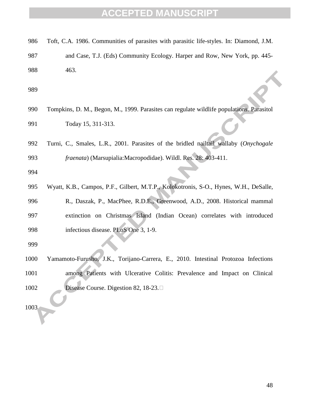and Case, T.J. (Eds) Community Ecology. Harper and Row, New York, pp. 445- 463.

- Tompkins, D. M., Begon, M., 1999. Parasites can regulate wildlife populations. Parasitol Today 15, 311-313.
- Turni, C., Smales, L.R., 2001. Parasites of the bridled nailtail wallaby (*Onychogale fraenata*) (Marsupialia:Macropodidae). Wildl. Res*.* 28: 403-411.

 Wyatt, K.B., Campos, P.F., Gilbert, M.T.P., Kolokotronis, S-O., Hynes, W.H., DeSalle, R., Daszak, P., MacPhee, R.D.E., Greenwood, A.D., 2008. Historical mammal extinction on Christmas Island (Indian Ocean) correlates with introduced infectious disease. PLoS One 3, 1-9.

 Yamamoto-Furusho, J.K., Torijano-Carrera, E., 2010. Intestinal Protozoa Infections among Patients with Ulcerative Colitis: Prevalence and Impact on Clinical 1002 Disease Course. Digestion 82, 18-23.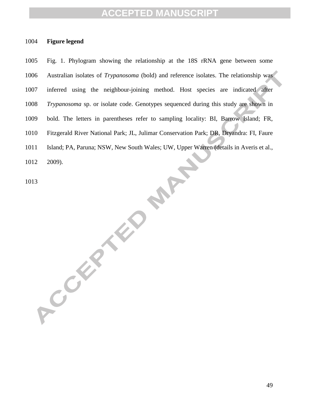#### **Figure legend**

 Fig. 1. Phylogram showing the relationship at the 18S rRNA gene between some Australian isolates of *Trypanosoma* (bold) and reference isolates. The relationship was inferred using the neighbour-joining method. Host species are indicated after *Trypanosoma* sp. or isolate code. Genotypes sequenced during this study are shown in bold. The letters in parentheses refer to sampling locality: BI, Barrow Island; FR, Fitzgerald River National Park; JL, Julimar Conservation Park; DR, Dryandra: FI, Faure Island; PA, Paruna; NSW, New South Wales; UW, Upper Warren (details in Averis et al., **PART** 2009).

ACCEPTED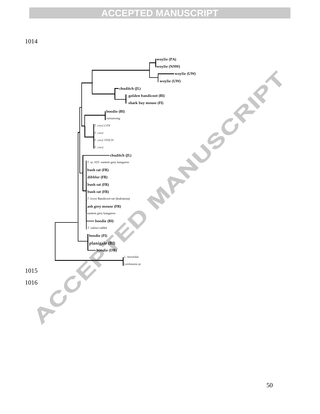